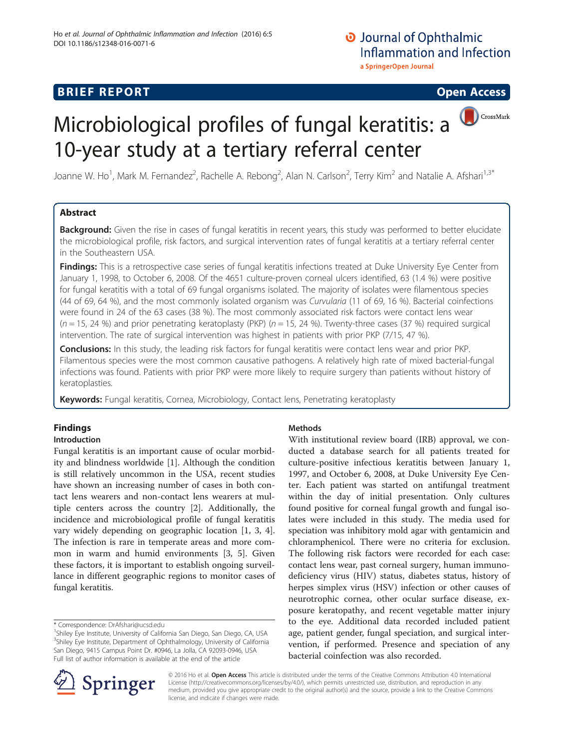## **BRIEF REPORT CONSTRUCTED ACCESS**

CrossMark

# Microbiological profiles of fungal keratitis: a 10-year study at a tertiary referral center

Joanne W. Ho<sup>1</sup>, Mark M. Fernandez<sup>2</sup>, Rachelle A. Rebong<sup>2</sup>, Alan N. Carlson<sup>2</sup>, Terry Kim<sup>2</sup> and Natalie A. Afshari<sup>1,3\*</sup>

## Abstract

Background: Given the rise in cases of fungal keratitis in recent years, this study was performed to better elucidate the microbiological profile, risk factors, and surgical intervention rates of fungal keratitis at a tertiary referral center in the Southeastern USA.

Findings: This is a retrospective case series of fungal keratitis infections treated at Duke University Eye Center from January 1, 1998, to October 6, 2008. Of the 4651 culture-proven corneal ulcers identified, 63 (1.4 %) were positive for fungal keratitis with a total of 69 fungal organisms isolated. The majority of isolates were filamentous species (44 of 69, 64 %), and the most commonly isolated organism was Curvularia (11 of 69, 16 %). Bacterial coinfections were found in 24 of the 63 cases (38 %). The most commonly associated risk factors were contact lens wear  $(n = 15, 24, 96)$  and prior penetrating keratoplasty (PKP)  $(n = 15, 24, 96)$ . Twenty-three cases (37 %) required surgical intervention. The rate of surgical intervention was highest in patients with prior PKP (7/15, 47 %).

Conclusions: In this study, the leading risk factors for fungal keratitis were contact lens wear and prior PKP. Filamentous species were the most common causative pathogens. A relatively high rate of mixed bacterial-fungal infections was found. Patients with prior PKP were more likely to require surgery than patients without history of keratoplasties.

Keywords: Fungal keratitis, Cornea, Microbiology, Contact lens, Penetrating keratoplasty

## Findings

## Introduction

Fungal keratitis is an important cause of ocular morbidity and blindness worldwide [[1](#page-2-0)]. Although the condition is still relatively uncommon in the USA, recent studies have shown an increasing number of cases in both contact lens wearers and non-contact lens wearers at multiple centers across the country [\[2](#page-2-0)]. Additionally, the incidence and microbiological profile of fungal keratitis vary widely depending on geographic location [[1, 3](#page-2-0), [4](#page-2-0)]. The infection is rare in temperate areas and more common in warm and humid environments [[3, 5\]](#page-2-0). Given these factors, it is important to establish ongoing surveillance in different geographic regions to monitor cases of fungal keratitis.

## Methods

With institutional review board (IRB) approval, we conducted a database search for all patients treated for culture-positive infectious keratitis between January 1, 1997, and October 6, 2008, at Duke University Eye Center. Each patient was started on antifungal treatment within the day of initial presentation. Only cultures found positive for corneal fungal growth and fungal isolates were included in this study. The media used for speciation was inhibitory mold agar with gentamicin and chloramphenicol. There were no criteria for exclusion. The following risk factors were recorded for each case: contact lens wear, past corneal surgery, human immunodeficiency virus (HIV) status, diabetes status, history of herpes simplex virus (HSV) infection or other causes of neurotrophic cornea, other ocular surface disease, exposure keratopathy, and recent vegetable matter injury to the eye. Additional data recorded included patient age, patient gender, fungal speciation, and surgical intervention, if performed. Presence and speciation of any bacterial coinfection was also recorded.



© 2016 Ho et al. Open Access This article is distributed under the terms of the Creative Commons Attribution 4.0 International License [\(http://creativecommons.org/licenses/by/4.0/](http://creativecommons.org/licenses/by/4.0/)), which permits unrestricted use, distribution, and reproduction in any medium, provided you give appropriate credit to the original author(s) and the source, provide a link to the Creative Commons license, and indicate if changes were made.

<sup>\*</sup> Correspondence: [DrAfshari@ucsd.edu](mailto:DrAfshari@ucsd.edu) <sup>1</sup>

<sup>&</sup>lt;sup>1</sup>Shiley Eye Institute, University of California San Diego, San Diego, CA, USA <sup>3</sup>Shiley Eye Institute, Department of Ophthalmology, University of California San Diego, 9415 Campus Point Dr. #0946, La Jolla, CA 92093-0946, USA Full list of author information is available at the end of the article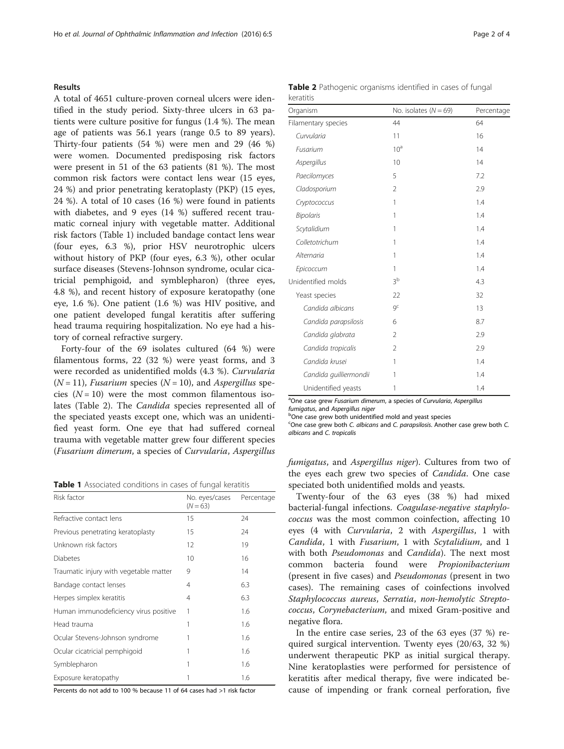### Results

A total of 4651 culture-proven corneal ulcers were identified in the study period. Sixty-three ulcers in 63 patients were culture positive for fungus (1.4 %). The mean age of patients was 56.1 years (range 0.5 to 89 years). Thirty-four patients (54 %) were men and 29 (46 %) were women. Documented predisposing risk factors were present in 51 of the 63 patients (81 %). The most common risk factors were contact lens wear (15 eyes, 24 %) and prior penetrating keratoplasty (PKP) (15 eyes, 24 %). A total of 10 cases (16 %) were found in patients with diabetes, and 9 eyes (14 %) suffered recent traumatic corneal injury with vegetable matter. Additional risk factors (Table 1) included bandage contact lens wear (four eyes, 6.3 %), prior HSV neurotrophic ulcers without history of PKP (four eyes, 6.3 %), other ocular surface diseases (Stevens-Johnson syndrome, ocular cicatricial pemphigoid, and symblepharon) (three eyes, 4.8 %), and recent history of exposure keratopathy (one eye, 1.6 %). One patient (1.6 %) was HIV positive, and one patient developed fungal keratitis after suffering head trauma requiring hospitalization. No eye had a history of corneal refractive surgery.

Forty-four of the 69 isolates cultured (64 %) were filamentous forms, 22 (32 %) were yeast forms, and 3 were recorded as unidentified molds (4.3 %). Curvularia  $(N = 11)$ , *Fusarium* species  $(N = 10)$ , and *Aspergillus* species  $(N = 10)$  were the most common filamentous isolates (Table 2). The Candida species represented all of the speciated yeasts except one, which was an unidentified yeast form. One eye that had suffered corneal trauma with vegetable matter grew four different species (Fusarium dimerum, a species of Curvularia, Aspergillus

Table 1 Associated conditions in cases of fungal keratitis

| Risk factor                            | No. eyes/cases<br>$(N = 63)$ | Percentage |
|----------------------------------------|------------------------------|------------|
| Refractive contact lens                | 15                           | 24         |
| Previous penetrating keratoplasty      | 15                           | 24         |
| Unknown risk factors                   | 12                           | 19         |
| <b>Diabetes</b>                        | 10                           | 16         |
| Traumatic injury with vegetable matter | 9                            | 14         |
| Bandage contact lenses                 | 4                            | 6.3        |
| Herpes simplex keratitis               | 4                            | 6.3        |
| Human immunodeficiency virus positive  | 1                            | 1.6        |
| Head trauma                            | 1                            | 1.6        |
| Ocular Stevens-Johnson syndrome        | 1                            | 1.6        |
| Ocular cicatricial pemphigoid          |                              | 1.6        |
| Symblepharon                           | 1                            | 1.6        |
| Exposure keratopathy                   | 1                            | 1.6        |

Percents do not add to 100 % because 11 of 64 cases had >1 risk factor

|           | Table 2 Pathogenic organisms identified in cases of fungal |  |  |  |
|-----------|------------------------------------------------------------|--|--|--|
| keratitis |                                                            |  |  |  |

| Organism               | No. isolates $(N = 69)$ | Percentage |
|------------------------|-------------------------|------------|
| Filamentary species    | 44                      | 64         |
| Curvularia             | 11                      | 16         |
| Fusarium               | 10 <sup>a</sup>         | 14         |
| Aspergillus            | 10                      | 14         |
| Paecilomyces           | 5                       | 7.2        |
| Cladosporium           | $\overline{2}$          | 2.9        |
| Cryptococcus           | 1                       | 1.4        |
| <b>Bipolaris</b>       | 1                       | 1.4        |
| Scytalidium            | 1                       | 1.4        |
| Colletotrichum         | 1                       | 1.4        |
| Alternaria             | 1                       | 1.4        |
| Epicoccum              | 1                       | 1.4        |
| Unidentified molds     | 3 <sup>b</sup>          | 4.3        |
| Yeast species          | 22                      | 32         |
| Candida albicans       | $Q^C$                   | 13         |
| Candida parapsilosis   | 6                       | 8.7        |
| Candida glabrata       | $\overline{2}$          | 2.9        |
| Candida tropicalis     | $\overline{2}$          | 2.9        |
| Candida krusei         | 1                       | 1.4        |
| Candida guilliermondii | 1                       | 1.4        |
| Unidentified yeasts    | 1                       | 1.4        |

<sup>a</sup>One case grew Fusarium dimerum, a species of Curvularia, Aspergillus fumigatus, and Aspergillus niger

One case grew both unidentified mold and yeast species

<sup>c</sup>One case grew both C. albicans and C. parapsilosis. Another case grew both C. albicans and C. tropicalis

fumigatus, and Aspergillus niger). Cultures from two of the eyes each grew two species of Candida. One case speciated both unidentified molds and yeasts.

Twenty-four of the 63 eyes (38 %) had mixed bacterial-fungal infections. Coagulase-negative staphylococcus was the most common coinfection, affecting 10 eyes (4 with Curvularia, 2 with Aspergillus, 1 with Candida, 1 with Fusarium, 1 with Scytalidium, and 1 with both Pseudomonas and Candida). The next most common bacteria found were Propionibacterium (present in five cases) and Pseudomonas (present in two cases). The remaining cases of coinfections involved Staphylococcus aureus, Serratia, non-hemolytic Streptococcus, Corynebacterium, and mixed Gram-positive and negative flora.

In the entire case series, 23 of the 63 eyes (37 %) required surgical intervention. Twenty eyes (20/63, 32 %) underwent therapeutic PKP as initial surgical therapy. Nine keratoplasties were performed for persistence of keratitis after medical therapy, five were indicated because of impending or frank corneal perforation, five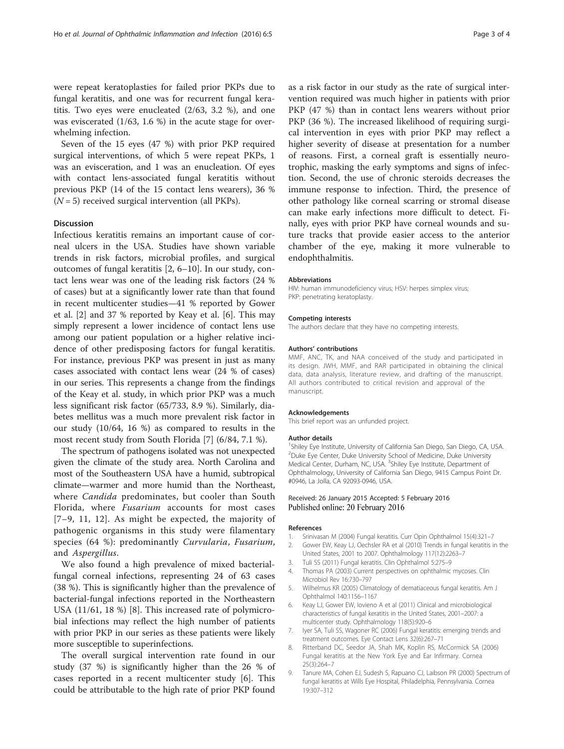<span id="page-2-0"></span>were repeat keratoplasties for failed prior PKPs due to fungal keratitis, and one was for recurrent fungal keratitis. Two eyes were enucleated (2/63, 3.2 %), and one was eviscerated (1/63, 1.6 %) in the acute stage for overwhelming infection.

Seven of the 15 eyes (47 %) with prior PKP required surgical interventions, of which 5 were repeat PKPs, 1 was an evisceration, and 1 was an enucleation. Of eyes with contact lens-associated fungal keratitis without previous PKP (14 of the 15 contact lens wearers), 36 %  $(N = 5)$  received surgical intervention (all PKPs).

#### Discussion

Infectious keratitis remains an important cause of corneal ulcers in the USA. Studies have shown variable trends in risk factors, microbial profiles, and surgical outcomes of fungal keratitis [2, 6–[10\]](#page-3-0). In our study, contact lens wear was one of the leading risk factors (24 % of cases) but at a significantly lower rate than that found in recent multicenter studies—41 % reported by Gower et al. [2] and 37 % reported by Keay et al. [6]. This may simply represent a lower incidence of contact lens use among our patient population or a higher relative incidence of other predisposing factors for fungal keratitis. For instance, previous PKP was present in just as many cases associated with contact lens wear (24 % of cases) in our series. This represents a change from the findings of the Keay et al. study, in which prior PKP was a much less significant risk factor (65/733, 8.9 %). Similarly, diabetes mellitus was a much more prevalent risk factor in our study (10/64, 16 %) as compared to results in the most recent study from South Florida [7] (6/84, 7.1 %).

The spectrum of pathogens isolated was not unexpected given the climate of the study area. North Carolina and most of the Southeastern USA have a humid, subtropical climate—warmer and more humid than the Northeast, where *Candida* predominates, but cooler than South Florida, where Fusarium accounts for most cases [7–9, [11](#page-3-0), [12](#page-3-0)]. As might be expected, the majority of pathogenic organisms in this study were filamentary species (64 %): predominantly Curvularia, Fusarium, and Aspergillus.

We also found a high prevalence of mixed bacterialfungal corneal infections, representing 24 of 63 cases (38 %). This is significantly higher than the prevalence of bacterial-fungal infections reported in the Northeastern USA (11/61, 18 %) [8]. This increased rate of polymicrobial infections may reflect the high number of patients with prior PKP in our series as these patients were likely more susceptible to superinfections.

The overall surgical intervention rate found in our study (37 %) is significantly higher than the 26 % of cases reported in a recent multicenter study [6]. This could be attributable to the high rate of prior PKP found as a risk factor in our study as the rate of surgical intervention required was much higher in patients with prior PKP (47 %) than in contact lens wearers without prior PKP (36 %). The increased likelihood of requiring surgical intervention in eyes with prior PKP may reflect a higher severity of disease at presentation for a number of reasons. First, a corneal graft is essentially neurotrophic, masking the early symptoms and signs of infection. Second, the use of chronic steroids decreases the immune response to infection. Third, the presence of other pathology like corneal scarring or stromal disease can make early infections more difficult to detect. Finally, eyes with prior PKP have corneal wounds and suture tracks that provide easier access to the anterior chamber of the eye, making it more vulnerable to endophthalmitis.

#### Abbreviations

HIV: human immunodeficiency virus; HSV: herpes simplex virus; PKP: penetrating keratoplasty.

#### Competing interests

The authors declare that they have no competing interests.

#### Authors' contributions

MMF, ANC, TK, and NAA conceived of the study and participated in its design. JWH, MMF, and RAR participated in obtaining the clinical data, data analysis, literature review, and drafting of the manuscript. All authors contributed to critical revision and approval of the manuscript.

#### Acknowledgements

This brief report was an unfunded project.

#### Author details

<sup>1</sup>Shiley Eye Institute, University of California San Diego, San Diego, CA, USA <sup>2</sup>Duke Eye Center, Duke University School of Medicine, Duke University Medical Center, Durham, NC, USA. <sup>3</sup>Shiley Eye Institute, Department of Ophthalmology, University of California San Diego, 9415 Campus Point Dr. #0946, La Jolla, CA 92093-0946, USA.

#### Received: 26 January 2015 Accepted: 5 February 2016 Published online: 20 February 2016

#### References

- 1. Srinivasan M (2004) Fungal keratitis. Curr Opin Ophthalmol 15(4):321–7
- 2. Gower EW, Keay LJ, Oechsler RA et al (2010) Trends in fungal keratitis in the United States, 2001 to 2007. Ophthalmology 117(12):2263–7
- 3. Tuli SS (2011) Fungal keratitis. Clin Ophthalmol 5:275–9
- 4. Thomas PA (2003) Current perspectives on ophthalmic mycoses. Clin Microbiol Rev 16:730–797
- 5. Wilhelmus KR (2005) Climatology of dematiaceous fungal keratitis. Am J Ophthalmol 140:1156–1167
- 6. Keay LJ, Gower EW, Iovieno A et al (2011) Clinical and microbiological characteristics of fungal keratitis in the United States, 2001–2007: a multicenter study. Ophthalmology 118(5):920–6
- 7. Iyer SA, Tuli SS, Wagoner RC (2006) Fungal keratitis: emerging trends and treatment outcomes. Eye Contact Lens 32(6):267–71
- 8. Ritterband DC, Seedor JA, Shah MK, Koplin RS, McCormick SA (2006) Fungal keratitis at the New York Eye and Ear Infirmary. Cornea 25(3):264–7
- 9. Tanure MA, Cohen EJ, Sudesh S, Rapuano CJ, Laibson PR (2000) Spectrum of fungal keratitis at Wills Eye Hospital, Philadelphia, Pennsylvania. Cornea 19:307–312